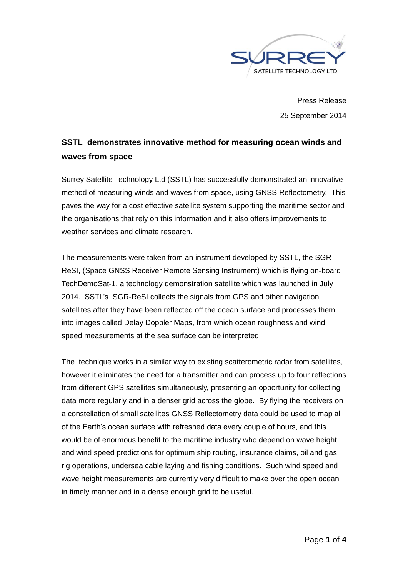

Press Release 25 September 2014

## **SSTL demonstrates innovative method for measuring ocean winds and waves from space**

Surrey Satellite Technology Ltd (SSTL) has successfully demonstrated an innovative method of measuring winds and waves from space, using GNSS Reflectometry. This paves the way for a cost effective satellite system supporting the maritime sector and the organisations that rely on this information and it also offers improvements to weather services and climate research.

The measurements were taken from an instrument developed by SSTL, the SGR-ReSI, (Space GNSS Receiver Remote Sensing Instrument) which is flying on-board TechDemoSat-1, a technology demonstration satellite which was launched in July 2014. SSTL's SGR-ReSI collects the signals from GPS and other navigation satellites after they have been reflected off the ocean surface and processes them into images called Delay Doppler Maps, from which ocean roughness and wind speed measurements at the sea surface can be interpreted.

The technique works in a similar way to existing scatterometric radar from satellites, however it eliminates the need for a transmitter and can process up to four reflections from different GPS satellites simultaneously, presenting an opportunity for collecting data more regularly and in a denser grid across the globe. By flying the receivers on a constellation of small satellites GNSS Reflectometry data could be used to map all of the Earth's ocean surface with refreshed data every couple of hours, and this would be of enormous benefit to the maritime industry who depend on wave height and wind speed predictions for optimum ship routing, insurance claims, oil and gas rig operations, undersea cable laying and fishing conditions. Such wind speed and wave height measurements are currently very difficult to make over the open ocean in timely manner and in a dense enough grid to be useful.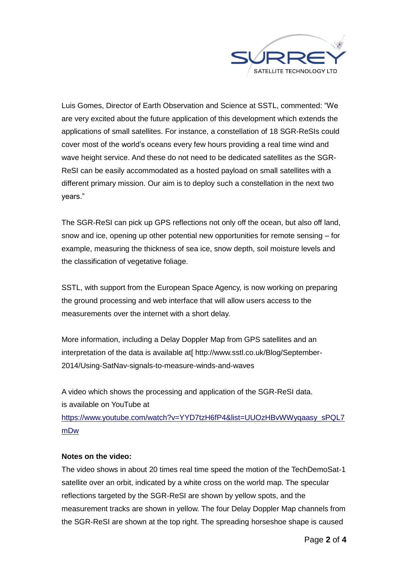

Luis Gomes, Director of Earth Observation and Science at SSTL, commented: "We are very excited about the future application of this development which extends the applications of small satellites. For instance, a constellation of 18 SGR-ReSIs could cover most of the world's oceans every few hours providing a real time wind and wave height service. And these do not need to be dedicated satellites as the SGR-ReSI can be easily accommodated as a hosted payload on small satellites with a different primary mission. Our aim is to deploy such a constellation in the next two years."

The SGR-ReSI can pick up GPS reflections not only off the ocean, but also off land, snow and ice, opening up other potential new opportunities for remote sensing – for example, measuring the thickness of sea ice, snow depth, soil moisture levels and the classification of vegetative foliage.

SSTL, with support from the European Space Agency, is now working on preparing the ground processing and web interface that will allow users access to the measurements over the internet with a short delay.

More information, including a Delay Doppler Map from GPS satellites and an interpretation of the data is available at [http://www.sstl.co.uk/Blog/September-2014/Using-SatNav-signals-to-measure-winds-and-waves

A video which shows the processing and application of the SGR-ReSI data. is available on YouTube at [https://www.youtube.com/watch?v=YYD7tzH6fP4&list=UUOzHBvWWyqaasy\\_sPQL7](https://www.youtube.com/watch?v=YYD7tzH6fP4&list=UUOzHBvWWyqaasy_sPQL7mDw) [mDw](https://www.youtube.com/watch?v=YYD7tzH6fP4&list=UUOzHBvWWyqaasy_sPQL7mDw)

#### **Notes on the video:**

The video shows in about 20 times real time speed the motion of the TechDemoSat-1 satellite over an orbit, indicated by a white cross on the world map. The specular reflections targeted by the SGR-ReSI are shown by yellow spots, and the measurement tracks are shown in yellow. The four Delay Doppler Map channels from the SGR-ReSI are shown at the top right. The spreading horseshoe shape is caused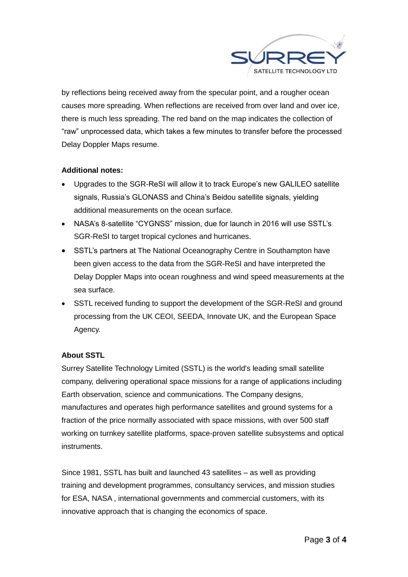

by reflections being received away from the specular point, and a rougher ocean causes more spreading. When reflections are received from over land and over ice, there is much less spreading. The red band on the map indicates the collection of "raw" unprocessed data, which takes a few minutes to transfer before the processed Delay Doppler Maps resume.

### **Additional notes:**

- Upgrades to the SGR-ReSI will allow it to track Europe's new GALILEO satellite signals, Russia's GLONASS and China's Beidou satellite signals, yielding additional measurements on the ocean surface.
- NASA's 8-satellite "CYGNSS" mission, due for launch in 2016 will use SSTL's SGR-ReSI to target tropical cyclones and hurricanes.
- SSTL's partners at The National Oceanography Centre in Southampton have been given access to the data from the SGR-ReSI and have interpreted the Delay Doppler Maps into ocean roughness and wind speed measurements at the sea surface.
- SSTL received funding to support the development of the SGR-ReSI and ground processing from the UK CEOI, SEEDA, Innovate UK, and the European Space Agency.

### **About SSTL**

Surrey Satellite Technology Limited (SSTL) is the world's leading small satellite company, delivering operational space missions for a range of applications including Earth observation, science and communications. The Company designs, manufactures and operates high performance satellites and ground systems for a fraction of the price normally associated with space missions, with over 500 staff working on turnkey satellite platforms, space-proven satellite subsystems and optical instruments.

Since 1981, SSTL has built and launched 43 satellites – as well as providing training and development programmes, consultancy services, and mission studies for ESA, NASA , international governments and commercial customers, with its innovative approach that is changing the economics of space.